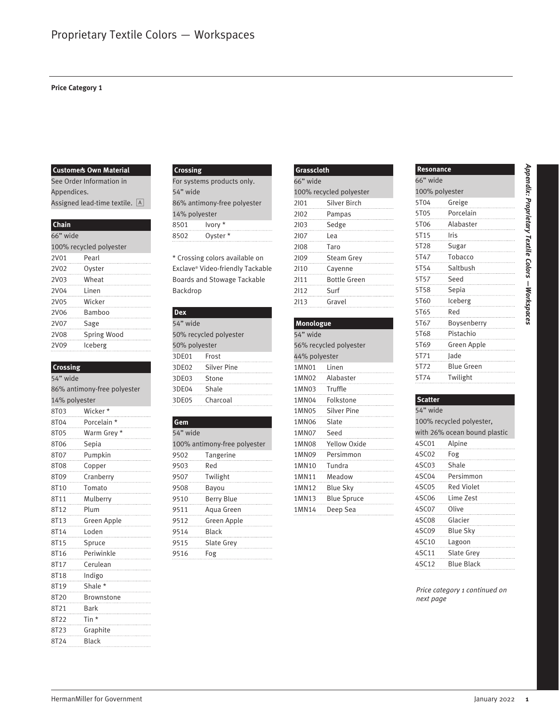#### **Price Category 1**

#### **Customer's Own Material**

#### **Chain**

| 66" wide |                         |  |
|----------|-------------------------|--|
|          | 100% recycled polyester |  |
| 2V01     | Pearl                   |  |
| 2V02     | Oyster<br>.             |  |
| 2V03     | Wheat                   |  |
| 2V04     | Linen                   |  |
| 2V05     | Wicker<br>.             |  |
| 2V06     | Bamboo                  |  |
| 2V07     | Sage                    |  |
| 2V08     | Spring Wood             |  |
| 2V09     | Iceberg                 |  |

#### **Crossing**

|                   | <b>Customer's Own Material</b>                               | Crossing      |                                    | Grasscloth    |                         | Resonance      |                               |
|-------------------|--------------------------------------------------------------|---------------|------------------------------------|---------------|-------------------------|----------------|-------------------------------|
|                   | See Order Information in<br>For systems products only.       |               | 66" wide                           |               |                         | 66" wide       |                               |
| Appendices.       |                                                              | 54" wide      |                                    |               | 100% recycled polyester | 100% polyester |                               |
|                   | Assigned lead-time textile. A<br>86% antimony-free polyester |               | 2101                               | Silver Birch  | 5T04                    | Greige         |                               |
|                   |                                                              | 14% polyester |                                    | 2102          | Pampas                  | 5T05           | Porcelain                     |
| Chain             |                                                              | 8501          | lvory *                            | 2103          | Sedge                   | 5T06           | Alabaster                     |
| 66" wide          |                                                              | 8502          | Oyster *                           | 2107          | Lea                     | 5T15           | Iris                          |
|                   | 100% recycled polyester                                      |               |                                    | 2108          | Taro                    | 5T28           | Sugar                         |
| 2V01              | Pearl                                                        |               | * Crossing colors available on     | 2109          | Steam Grey              | 5T47           | Tobacco                       |
| 2V02              | Oyster                                                       |               | Exclave® Video-friendly Tackable   | 2110          | Cayenne                 | 5T54           | Saltbush                      |
| 2V03              | Wheat                                                        |               | <b>Boards and Stowage Tackable</b> | 2111          | <b>Bottle Green</b>     | 5T57           | Seed                          |
| 2V04              | Linen                                                        | Backdrop      |                                    | 2112          | Surf                    | 5T58           | Sepia                         |
| 2V05              | Wicker                                                       |               |                                    | 2113          | Gravel                  | 5T60           | Iceberg                       |
| 2V06              | Bamboo                                                       | <b>Dex</b>    |                                    |               |                         | 5T65           | Red                           |
| 2V07              | Sage                                                         | 54" wide      |                                    | Monologue     |                         | 5T67           | Boysenberry                   |
| 2V08              | Spring Wood                                                  |               | 50% recycled polyester             | 54" wide      |                         | 5T68           | Pistachio                     |
| 2V09              | Iceberg                                                      | 50% polyester |                                    |               | 56% recycled polyester  | 5T69           | Green Apple                   |
|                   |                                                              | 3DE01         | Frost                              | 44% polyester |                         | 5T71           | Jade                          |
| Crossing          |                                                              | 3DE02         | Silver Pine                        | 1MN01         | Linen                   | 5T72           | <b>Blue Green</b>             |
| 54" wide          |                                                              | 3DE03         | Stone                              | 1MN02         | Alabaster               | 5T74           | Twilight                      |
|                   | 86% antimony-free polyester                                  | 3DE04         | Shale                              | 1MN03         | Truffle                 |                |                               |
| 14% polyester     |                                                              | 3DE05         | Charcoal                           | 1MN04         | Folkstone               | <b>Scatter</b> |                               |
| 8T03              | Wicker*                                                      |               |                                    | 1MN05         | <b>Silver Pine</b>      | 54" wide       |                               |
| 8T04              | Porcelain *                                                  | Gem           |                                    | 1MN06         | Slate                   |                | 100% recycled polyester,      |
| 8T05              | Warm Grey *                                                  | 54" wide      |                                    | 1MN07         | Seed                    |                | with 26% ocean bound plastic  |
| 8T06              | Sepia                                                        |               | 100% antimony-free polyester       | 1MN08         | Yellow Oxide            | 4SC01          | Alpine                        |
| 8T07              | Pumpkin                                                      | 9502          | Tangerine                          | 1MN09         | Persimmon               | 4SC02          | Fog                           |
| 8T08              | Copper                                                       | 9503          | Red                                | 1MN10         | Tundra                  | 4SC03          | Shale                         |
| 8T09              | Cranberry                                                    | 9507          | Twilight                           | 1MN11         | Meadow                  | 4SC04          | Persimmon                     |
| 8T10              | Tomato                                                       | 9508          | Bayou                              | 1MN12         | <b>Blue Sky</b>         | 4SC05          | Red Violet                    |
| 8T11              | Mulberry                                                     | 9510          | Berry Blue                         | 1MN13         | <b>Blue Spruce</b>      | 4SC06          | Lime Zest                     |
| 8T12              | Plum                                                         | 9511          | Aqua Green                         | 1MN14         | Deep Sea                | 4SC07          | Olive                         |
| 8T13              | Green Apple                                                  | 9512          | Green Apple                        |               |                         | 4SC08          | Glacier                       |
| 8T14              | Loden                                                        | 9514          | <b>Black</b>                       |               |                         | 4SC09          | <b>Blue Sky</b>               |
| 8T15              | Spruce                                                       | 9515          | Slate Grey                         |               |                         | 4SC10          | Lagoon                        |
| 8T16              | Periwinkle                                                   | 9516          | Fog                                |               |                         | 4SC11          | Slate Grey                    |
| 8T17              | Cerulean                                                     |               |                                    |               |                         | 4SC12          | <b>Blue Black</b>             |
| 8118              | Indigo                                                       |               |                                    |               |                         |                |                               |
| 8T19              | Shale *                                                      |               |                                    |               |                         |                |                               |
| 8T20              | Brownstone                                                   |               |                                    |               |                         | next page      | Price category 1 continued on |
| 8T21              | Bark                                                         |               |                                    |               |                         |                |                               |
| 8T22              | Tin *                                                        |               |                                    |               |                         |                |                               |
| 8T23              | Graphite                                                     |               |                                    |               |                         |                |                               |
| 8T <sub>2</sub> 4 | Black                                                        |               |                                    |               |                         |                |                               |
|                   |                                                              |               |                                    |               |                         |                |                               |
|                   |                                                              |               |                                    |               |                         |                |                               |
|                   | HermanMiller for Government                                  |               |                                    |               |                         |                | January $2022 - 1$            |

#### **Crossing**

## **Dex**

| 54" wide               |                   |  |  |
|------------------------|-------------------|--|--|
| 50% recycled polyester |                   |  |  |
| 50% polyester          |                   |  |  |
| 3DE01 Frost            |                   |  |  |
|                        | 3DE02 Silver Pine |  |  |
| 3DE03                  | Stone             |  |  |
| 3DE04                  | Shale             |  |  |
| 3DE05                  | Charcoal          |  |  |

## **Gem**

| 54" wide              |                              |
|-----------------------|------------------------------|
|                       | 100% antimony-free polyester |
| 9502<br>$\frac{1}{2}$ | Tangerine                    |
| 9503                  | Red                          |
| 9507                  | Twilight                     |
| 9508                  | Bayou<br>.                   |
| 9510                  | <b>Berry Blue</b><br>.       |
| 9511                  | Aqua Green                   |
| 9512                  | Green Apple                  |
| 9514                  | <b>Black</b>                 |
| 9515                  | Slate Grey                   |
| 9516                  | Fog                          |

| Grasscloth |                              |  |  |
|------------|------------------------------|--|--|
| 66" wide   |                              |  |  |
|            | 100% recycled polyester      |  |  |
| 2101       | Silver Birch                 |  |  |
|            | 2102 Pampas                  |  |  |
| 2103 Sedge |                              |  |  |
| 2107 Lea   |                              |  |  |
| 2108       | Taro                         |  |  |
| 2109       | Steam Grey                   |  |  |
|            | 2110 Cayenne                 |  |  |
| 2111<br>.  | <b>Bottle Green</b><br> <br> |  |  |
| 2112 Surf  |                              |  |  |
| 2113       | Gravel                       |  |  |
|            |                              |  |  |

# **Monologue** 54" wide

| 56% recycled polyester |                        |  |  |
|------------------------|------------------------|--|--|
| 44% polyester          |                        |  |  |
| 1MN01 Linen            |                        |  |  |
|                        | 1MN02 Alabaster        |  |  |
| 1MN03 Truffle          | .                      |  |  |
|                        | 1MN04 Folkstone<br>.   |  |  |
|                        | 1MN05 Silver Pine      |  |  |
| 1MN06 Slate            |                        |  |  |
| 1MN07 Seed             | .                      |  |  |
|                        | 1MN08 Yellow Oxide     |  |  |
|                        | 1MN09 Persimmon<br>.   |  |  |
| 1MN10 Tundra           |                        |  |  |
|                        | 1MN11 Meadow<br>.      |  |  |
|                        |                        |  |  |
|                        | 1MN13 Blue Spruce<br>. |  |  |
| 1MN14                  | Deep Sea               |  |  |

| Resonance                                                                                                                 |  |  |  |
|---------------------------------------------------------------------------------------------------------------------------|--|--|--|
| 66" wide                                                                                                                  |  |  |  |
| 100% polyester                                                                                                            |  |  |  |
| 5T04<br>Greige                                                                                                            |  |  |  |
| 5T05 Porcelain                                                                                                            |  |  |  |
| 5T06 Alabaster                                                                                                            |  |  |  |
| Iris                                                                                                                      |  |  |  |
| Sugar                                                                                                                     |  |  |  |
| Tobacco                                                                                                                   |  |  |  |
| Saltbush                                                                                                                  |  |  |  |
| Seed                                                                                                                      |  |  |  |
| 5T58 and the set of the set of the set of the set of the set of the set of the set of the set of the set of th<br>Sepia   |  |  |  |
| 5T60 and the set of the set of the set of the set of the set of the set of the set of the set of the set of th<br>Iceberg |  |  |  |
| Red                                                                                                                       |  |  |  |
| Boysenberry<br>.                                                                                                          |  |  |  |
| Pistachio<br>.                                                                                                            |  |  |  |
| Green Apple                                                                                                               |  |  |  |
| Jade                                                                                                                      |  |  |  |
| 5T72<br>Blue Green                                                                                                        |  |  |  |
| Twilight                                                                                                                  |  |  |  |
|                                                                                                                           |  |  |  |

| <b>Scatter</b>               |                          |  |  |  |
|------------------------------|--------------------------|--|--|--|
| 54" wide                     |                          |  |  |  |
|                              | 100% recycled polyester, |  |  |  |
| with 26% ocean bound plastic |                          |  |  |  |
| 4SC01                        | Alpine                   |  |  |  |
| 4SC02                        | Fog                      |  |  |  |
| 4SC03                        | Shale                    |  |  |  |
| 4SC04                        | Persimmon<br>.           |  |  |  |
| 4SC05                        | Red Violet<br>.          |  |  |  |
| 4SC06                        | Lime Zest                |  |  |  |
| 4SC07                        | Olive                    |  |  |  |
| 4SC08                        | Glacier                  |  |  |  |
| 4SC09                        | Blue Sky                 |  |  |  |
| 4SC10                        | Lagoon                   |  |  |  |
| 4SC11                        | <b>Slate Grev</b>        |  |  |  |
| 4SC12                        | Blue Black               |  |  |  |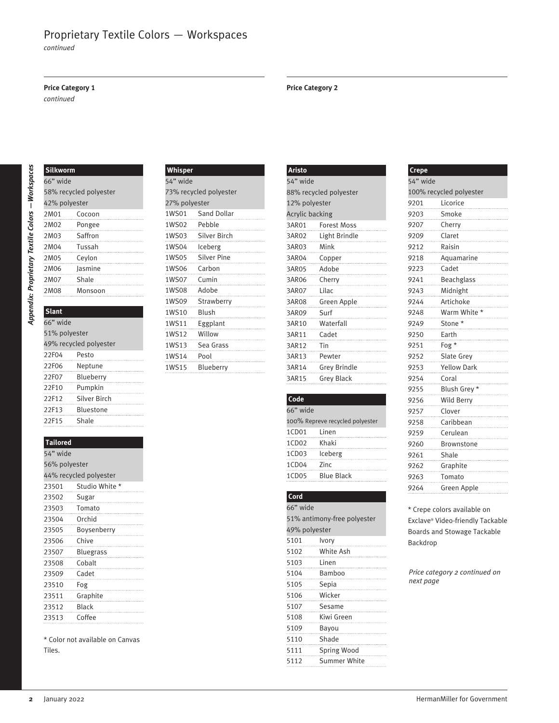*continued*

#### **Price Category 1**

*continued*

**Silkworm**

# Appendix: Proprietary Textile Colors - Workspaces *Appendix: Proprietary Textile Colors —Workspaces*

| 66" wide               |         |  |
|------------------------|---------|--|
| 58% recycled polyester |         |  |
| 42% polyester          |         |  |
| 2M01                   | Cocoon  |  |
| 2M02                   | Pongee  |  |
| 2M03                   | Saffron |  |
| 2M04                   | Tussah  |  |
| 2M05                   | Ceylon  |  |
| 2M06                   | lasmine |  |
| 2M07                   | Shale   |  |
| 2M08                   | Monsoon |  |
|                        |         |  |

# **Slant** 66" wide 51% polyester 49% recycled polyester

| 22F04 | Pesto        |  |
|-------|--------------|--|
| 22F06 | Neptune      |  |
| 22F07 | Blueberry    |  |
| 22F10 | Pumpkin      |  |
| 22F12 | Silver Birch |  |
| 22F13 | Bluestone    |  |
| 22F15 | Shale        |  |

#### **Tailored**

| 54" wide               |                  |  |
|------------------------|------------------|--|
| 56% polyester          |                  |  |
| 44% recycled polyester |                  |  |
| 23501                  | Studio White *   |  |
| 23502                  | Sugar            |  |
| 23503                  | Tomato           |  |
| 23504                  | Orchid           |  |
| 23505                  | Boysenberry      |  |
| 23506                  | Chive            |  |
| 23507                  | <b>Bluegrass</b> |  |
| 23508                  | Cobalt           |  |
| 23509                  | Cadet            |  |
| 23510                  | Fog              |  |
| 23511                  | Graphite         |  |
| 23512                  | <b>Black</b>     |  |
| 23513                  | Coffee           |  |

\* Color not available on Canvas Tiles.

#### **Whisper** 54" wide 73% recycled polyester 27% polyester 1WS01 Sand Dollar 1WS02 Pebble 1WS03 Silver Birch 1WS04 Iceberg 1WS05 Silver Pine 1WS06 Carbon 1WS07 Cumin 1WS08 Adobe 1WS09 Strawberry 1WS10 Blush 1WS11 Eggplant 1WS12 Willow

1WS13 Sea Grass 1WS14 Pool 1WS15 Blueberry

| <b>Aristo</b>   |                          |
|-----------------|--------------------------|
| 54" wide        |                          |
|                 | 88% recycled polyester   |
| 12% polyester   |                          |
| Acrylic backing |                          |
|                 | 3AR01 Forest Moss<br>.   |
|                 | 3AR02 Light Brindle<br>. |
| 3AR03 Mink      |                          |
|                 |                          |
|                 |                          |
|                 | 3AR06 Cherry             |
|                 | 3AR07 Lilac              |
|                 | 3AR08 Green Apple        |
|                 | 3AR09 Surf               |
|                 | 3AR10 Waterfall          |
|                 | 3AR11 Cadet              |
| 3AR12 Tin       |                          |
|                 | 3AR13 Pewter<br>.        |
|                 | 3AR14 Grey Brindle       |
|                 | 3AR15 Grey Black         |

# **Code**

| 66" wide      |                                 |  |
|---------------|---------------------------------|--|
|               | 100% Repreve recycled polyester |  |
| 1CD01 Linen   |                                 |  |
| 1CD02 Khaki   |                                 |  |
| 1CD03 Iceberg |                                 |  |
| 1CD04 Zinc    |                                 |  |
|               | 1CD05 Blue Black                |  |

#### **Cord**

| 66" wide      |                             |  |
|---------------|-----------------------------|--|
|               | 51% antimony-free polyester |  |
| 49% polyester |                             |  |
| 5101          | Ivory                       |  |
| 5102          | White Ash                   |  |
| 5103          | Linen                       |  |
| 5104          | Bamboo                      |  |
| 5105          | Sepia                       |  |
| 5106          | Wicker                      |  |
| 5107          | Sesame                      |  |
| 5108          | Kiwi Green                  |  |
| 5109          | Bayou                       |  |
| 5110          | Shade                       |  |
| 5111          | Spring Wood<br>.            |  |
| 5112          | <b>Summer White</b>         |  |

#### **Crepe** 54" wide 100% recycled polyester 9201 Licorice 9203 Smoke 9207 Cherry 9209 Claret 9212 Raisin 9218 Aquamarine 9223 Cadet 9241 Beachglass 9243 Midnight 9244 Artichoke 9248 Warm White \* 9249 Stone \* 9250 Earth 9251 Fog \* 9252 Slate Grey 9253 Yellow Dark 9254 Coral 9255 Blush Grey \* 9256 Wild Berry 9257 Clover 9258 Caribbean 9259 Cerulean 9260 Brownstone 9261 Shale 9262 Graphite 9263 Tomato

\* Crepe colors available on Exclave® Video-friendly Tackable Boards and Stowage Tackable Backdrop

9264 Green Apple

*Price category 2 continued on next page*

### **Price Category 2**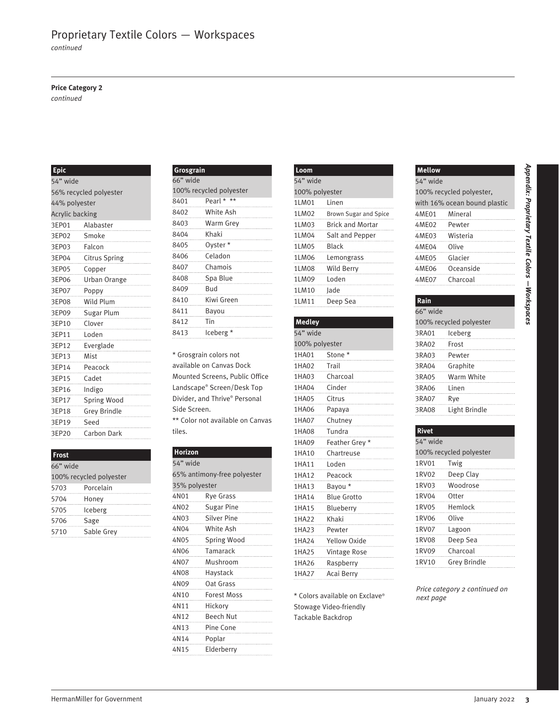*continued*

#### **Price Category 2**

*continued*

#### **Epic**

| <b>Epic</b>     |                                                        |               | Grosgrain                        |                | Loom                           |              | Mellow                        |  |
|-----------------|--------------------------------------------------------|---------------|----------------------------------|----------------|--------------------------------|--------------|-------------------------------|--|
|                 | 66" wide<br>54" wide                                   |               |                                  | 54" wide       |                                | 54" wide     |                               |  |
|                 | 56% recycled polyester                                 |               | 100% recycled polyester          |                | 100% polyester                 |              | 100% recycled polyester,      |  |
| 44% polyester   |                                                        | 8401          | Pearl * **                       | 1LM01          | Linen                          |              | with 16% ocean bound plastic  |  |
| Acrylic backing |                                                        | 8402          | White Ash                        | 1LM02          | Brown Sugar and Spice          | 4ME01        | Mineral                       |  |
| 3EP01           | Alabaster                                              | 8403          | Warm Grey                        | 1LM03          | <b>Brick and Mortar</b>        | 4ME02        | Pewter                        |  |
| 3EP02           | Smoke                                                  | 8404          | Khaki                            | 1LM04          | Salt and Pepper                | 4ME03        | Wisteria                      |  |
| 3EP03           | Falcon                                                 | 8405          | Oyster*                          | 1LM05          | <b>Black</b>                   | 4ME04        | Olive                         |  |
| 3EP04           | <b>Citrus Spring</b>                                   | 8406          | Celadon                          | 1LM06          | Lemongrass                     | 4ME05        | Glacier                       |  |
| 3EP05           | Copper                                                 | 8407          | Chamois                          | 1LM08          | Wild Berry                     | 4ME06        | Oceanside                     |  |
| 3EP06           | Urban Orange                                           | 8408          | Spa Blue                         | 1LM09          | Loden                          | 4ME07        | Charcoal                      |  |
| 3EP07           | Poppy                                                  | 8409          | <b>Bud</b>                       | 1LM10          | Jade                           |              |                               |  |
| 3EP08           | Wild Plum                                              | 8410          | Kiwi Green                       | 1LM11          | Deep Sea                       | Rain         |                               |  |
| 3EP09           | Sugar Plum                                             | 8411          | Bayou                            |                |                                | 66" wide     |                               |  |
| 3EP10           | Clover                                                 | 8412          | Tin                              | Medley         |                                |              | 100% recycled polyester       |  |
| 3EP11           | Loden                                                  | 8413          | Iceberg $^\star$                 | 54" wide       |                                | 3RA01        | Iceberg                       |  |
| 3EP12           | Everglade                                              |               |                                  | 100% polyester |                                | 3RA02        | Frost                         |  |
| 3EP13           | Mist                                                   |               | * Grosgrain colors not           | 1HA01          | Stone *                        | 3RA03        | Pewter                        |  |
| 3EP14           | Peacock                                                |               | available on Canvas Dock         | 1HA02          | Trail                          | 3RA04        | Graphite                      |  |
| 3EP15           | Cadet                                                  |               | Mounted Screens, Public Office   | 1HA03          | Charcoal                       | 3RA05        | Warm White                    |  |
| 3EP16           | Indigo                                                 |               | Landscape® Screen/Desk Top       | 1HA04          | Cinder                         | 3RA06        | Linen                         |  |
| 3EP17           | Spring Wood                                            |               | Divider, and Thrive® Personal    | 1HA05          | Citrus                         | 3RA07        | Rye                           |  |
| 3EP18           | Grey Brindle                                           | Side Screen.  |                                  | 1HA06          | Papaya                         | 3RA08        | Light Brindle                 |  |
| 3EP19           | Seed                                                   |               | ** Color not available on Canvas | 1HA07          | Chutney                        |              |                               |  |
|                 |                                                        | tiles.        |                                  | 1HA08          | Tundra                         | <b>Rivet</b> |                               |  |
| 3EP20           | Carbon Dark                                            |               |                                  | 1HA09          | Feather Grey *                 | 54" wide     |                               |  |
|                 |                                                        | Horizon       |                                  | 1HA10          | Chartreuse                     |              | 100% recycled polyester       |  |
| Frost           |                                                        | 54" wide      |                                  | 1HA11          | Loden                          | 1RV01        | Twig                          |  |
| 66" wide        | 65% antimony-free polyester<br>100% recycled polyester |               | 1HA12                            | Peacock        | 1RV02                          | Deep Clay    |                               |  |
|                 |                                                        | 35% polyester |                                  | 1HA13          | Bayou *                        | 1RV03        | Woodrose                      |  |
| 5703            | Porcelain                                              | 4N01          | Rye Grass                        | 1HA14          | <b>Blue Grotto</b>             | 1RV04        | Otter                         |  |
| 5704            | Honey                                                  | 4N02          | <b>Sugar Pine</b>                | 1HA15          |                                | 1RV05        | Hemlock                       |  |
| 5705            | Iceberg                                                | 4N03          | Silver Pine                      |                | Blueberry<br>Khaki             | 1RV06        | Olive                         |  |
| 5706            | Sage                                                   | 4N04          | White Ash                        | 1HA22          |                                | 1RV07        | Lagoon                        |  |
| 5710            | Sable Grey                                             | 4N05          | Spring Wood                      | 1HA23          | Pewter                         | 1RV08        | Deep Sea                      |  |
|                 |                                                        | 4N06          | Tamarack                         | 1HA24          | Yellow Oxide                   | 1RV09        | Charcoal                      |  |
|                 |                                                        | 4N07          | Mushroom                         | 1HA25          | Vintage Rose                   | 1RV10        |                               |  |
|                 |                                                        |               |                                  | 1HA26          | Raspberry                      |              | Grey Brindle                  |  |
|                 |                                                        | 4N08<br>      | Haystack                         | 1HA27          | Acai Berry                     |              |                               |  |
|                 |                                                        | 4N09          | Oat Grass                        |                |                                |              | Price category 2 continued on |  |
|                 |                                                        | 4N10          | Forest Moss                      |                | * Colors available on Exclave® | next page    |                               |  |
|                 |                                                        | 4N11          | Hickory                          |                | Stowage Video-friendly         |              |                               |  |
|                 |                                                        | 4N12          | Beech Nut                        |                | Tackable Backdrop              |              |                               |  |
|                 |                                                        | 4N13          | Pine Cone                        |                |                                |              |                               |  |
|                 |                                                        |               | Poplar                           |                |                                |              |                               |  |
|                 |                                                        | 4N14<br>4N15  | Elderberry                       |                |                                |              |                               |  |

#### **Frost**

| 66" wide |                         |
|----------|-------------------------|
|          | 100% recycled polyester |
| 5703     | Porcelain               |
| 5704     | Honey                   |
| 5705     | Iceberg                 |
| 5706     | Sage                    |
| 5710     | Sable Grey              |

| Grosgrain |                         |   |
|-----------|-------------------------|---|
| 66" wide  |                         |   |
|           | 100% recycled polyester |   |
| 8401      | Pearl * $**$            |   |
| 8402      | White Ash               | . |
| 8403      | Warm Grey               |   |
| 8404      | Khaki                   |   |
| 8405      | Oyster*                 |   |
| 8406      | Celadon                 |   |
| 8407      | Chamois                 |   |
| 8408      | Spa Blue                |   |
| 8409      | Bud                     |   |
| 8410      | Kiwi Green              |   |
| 8411      | Bayou                   |   |
| 8412      | Tin                     |   |
| 8413      | lceberg *               |   |

#### **Horizon**

| 54" wide      |                             |
|---------------|-----------------------------|
|               | 65% antimony-free polyester |
| 35% polyester |                             |
| 4N01          | <b>Rye Grass</b>            |
| 4N02          | <b>Sugar Pine</b><br>.      |
|               | 4N03 Silver Pine<br>.       |
|               | 4N04 White Ash<br>.         |
|               | 4N05 Spring Wood<br>.       |
|               | 4N06 Tamarack<br>.          |
|               | 4N07 Mushroom               |
| 4N08          | Haystack                    |
| 4N09          | Oat Grass<br>.              |
| 4N10          | <b>Forest Moss</b>          |
| 4N11          | Hickory                     |
| 4N12          | <b>Beech Nut</b>            |
| 4N13          | Pine Cone                   |
|               | 4N14 Poplar                 |
| 4N15          | Elderberry                  |

| Loom           |                              |
|----------------|------------------------------|
| 54" wide       |                              |
| 100% polyester |                              |
| 1LM01          | Linen                        |
| 1LM02          | <b>Brown Sugar and Spice</b> |
| 1LM03          | <b>Brick and Mortar</b>      |
|                | 1LM04 Salt and Pepper        |
| 1LM05 Black    |                              |
| 1LM06          | Lemongrass<br>.<br>          |
| 1LM08          | Wild Berry                   |
| 1LM09          | Loden                        |
| 1LM10 lade     |                              |
| 1LM11          | Deep Sea                     |

| <b>Medley</b>  |                     |
|----------------|---------------------|
| 54" wide       |                     |
| 100% polyester |                     |
|                | 1HA01 Stone *       |
|                | 1HA02 Trail         |
|                | 1HA03 Charcoal      |
|                | 1HA04 Cinder        |
|                | 1HA05 Citrus        |
|                | 1HA06 Papaya        |
|                | 1HA07 Chutney       |
|                | 1HA08 Tundra        |
|                | 1HA09 Feather Grey* |
|                | 1HA10 Chartreuse    |
|                | 1HA11 Loden         |
|                | 1HA12 Peacock       |
| 1HA13 Bayou*   |                     |
|                | 1HA14 Blue Grotto   |
|                | 1HA15 Blueberry     |
|                | 1HA22 Khaki         |
|                | 1HA23 Pewter        |
|                | THA24 Yellow Oxide  |
|                | 1HA25 Vintage Rose  |
|                | 1HA26 Raspberry     |
|                | 1HA27 Acai Berry    |

# **Mellow** 54" wide 100% recycled polyester,

|                | with 16% ocean bound plastic |
|----------------|------------------------------|
| 4ME01 Mineral  |                              |
| 4ME02 Pewter   | .                            |
| 4ME03 Wisteria |                              |
| 4ME04 Olive    |                              |
| 4ME05 Glacier  |                              |
|                | 4ME06 Oceanside              |
| 4ME07 Charcoal |                              |
|                |                              |

#### **Rain** 66" wide 100% recycled polyester 3RA01 Iceberg 3RA02 Frost 3RA03 Pewter 3RA04 Graphite 3RA05 Warm White 3RA06 Linen 3RA07 Rye 3RA08 Light Brindle

| <b>Rivet</b> |                          |
|--------------|--------------------------|
| 54" wide     |                          |
|              | 100% recycled polyester  |
| 1RV01        | Twig                     |
| 1RV02        | Deep Clay<br>.           |
| 1RV03        | Woodrose                 |
| 1RV04        | Otter                    |
| 1RV05        | Hemlock                  |
| 1RV06        | Olive                    |
| 1RV07        | Lagoon                   |
| <b>1RV08</b> | Deep Sea                 |
| 1RV09        | Charcoal                 |
| 1RV10        | <b>Grey Brindle</b><br>. |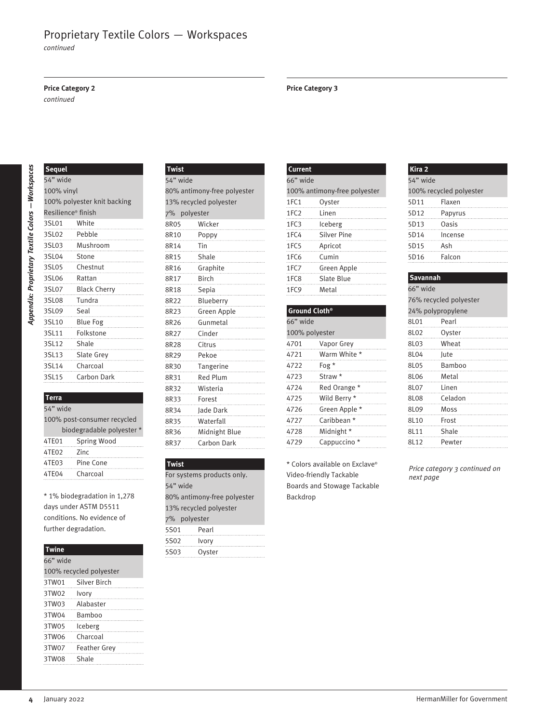*continued*

#### **Price Category 2 Price Category 3**

*continued*

| 66" wide<br>100% antimony-free polyester<br>1FC1<br>Oyster<br>1FC <sub>2</sub><br>Linen<br>1FC3<br>Iceberg<br>1FC4<br><b>Silver Pine</b><br>1FC5<br>Apricot<br>1FC6<br>Cumin<br>1FC7<br>Green Apple<br>1FC8<br>Slate Blue<br>1FC <sub>9</sub><br>Metal<br>Ground Cloth <sup>®</sup><br>66" wide<br>100% polyester<br>4701<br>Vapor Grey<br>Warm White *<br>4721<br>Fog *<br>4722<br>Straw *<br>4723<br>4724<br>Red Orange * | 54" wide<br>100% recycled polyester<br>5D11<br>Flaxen<br>5D12<br>Papyrus<br>5D13<br>Oasis<br>5D14<br>Incense<br>5D15<br>Ash<br>5D16<br>Falcon<br>Savannah<br>66" wide<br>76% recycled polyester<br>24% polypropylene<br>8L01<br>Pearl<br>8L02<br>Oyster<br>Wheat<br>8L03<br>8L04<br>Jute |
|-----------------------------------------------------------------------------------------------------------------------------------------------------------------------------------------------------------------------------------------------------------------------------------------------------------------------------------------------------------------------------------------------------------------------------|------------------------------------------------------------------------------------------------------------------------------------------------------------------------------------------------------------------------------------------------------------------------------------------|
|                                                                                                                                                                                                                                                                                                                                                                                                                             |                                                                                                                                                                                                                                                                                          |
|                                                                                                                                                                                                                                                                                                                                                                                                                             |                                                                                                                                                                                                                                                                                          |
|                                                                                                                                                                                                                                                                                                                                                                                                                             |                                                                                                                                                                                                                                                                                          |
|                                                                                                                                                                                                                                                                                                                                                                                                                             |                                                                                                                                                                                                                                                                                          |
|                                                                                                                                                                                                                                                                                                                                                                                                                             |                                                                                                                                                                                                                                                                                          |
|                                                                                                                                                                                                                                                                                                                                                                                                                             |                                                                                                                                                                                                                                                                                          |
|                                                                                                                                                                                                                                                                                                                                                                                                                             |                                                                                                                                                                                                                                                                                          |
|                                                                                                                                                                                                                                                                                                                                                                                                                             |                                                                                                                                                                                                                                                                                          |
|                                                                                                                                                                                                                                                                                                                                                                                                                             |                                                                                                                                                                                                                                                                                          |
|                                                                                                                                                                                                                                                                                                                                                                                                                             |                                                                                                                                                                                                                                                                                          |
|                                                                                                                                                                                                                                                                                                                                                                                                                             |                                                                                                                                                                                                                                                                                          |
|                                                                                                                                                                                                                                                                                                                                                                                                                             |                                                                                                                                                                                                                                                                                          |
|                                                                                                                                                                                                                                                                                                                                                                                                                             |                                                                                                                                                                                                                                                                                          |
|                                                                                                                                                                                                                                                                                                                                                                                                                             |                                                                                                                                                                                                                                                                                          |
|                                                                                                                                                                                                                                                                                                                                                                                                                             |                                                                                                                                                                                                                                                                                          |
|                                                                                                                                                                                                                                                                                                                                                                                                                             |                                                                                                                                                                                                                                                                                          |
|                                                                                                                                                                                                                                                                                                                                                                                                                             |                                                                                                                                                                                                                                                                                          |
|                                                                                                                                                                                                                                                                                                                                                                                                                             | 8L05<br>Bamboo                                                                                                                                                                                                                                                                           |
|                                                                                                                                                                                                                                                                                                                                                                                                                             | 8L06<br>Metal                                                                                                                                                                                                                                                                            |
|                                                                                                                                                                                                                                                                                                                                                                                                                             | Linen<br>8L07                                                                                                                                                                                                                                                                            |
| Wild Berry *<br>4725                                                                                                                                                                                                                                                                                                                                                                                                        | 8L08<br>Celadon                                                                                                                                                                                                                                                                          |
| Green Apple *<br>4726                                                                                                                                                                                                                                                                                                                                                                                                       | 8L09<br>Moss                                                                                                                                                                                                                                                                             |
| Caribbean *<br>4727                                                                                                                                                                                                                                                                                                                                                                                                         | Frost<br>8L10                                                                                                                                                                                                                                                                            |
| Midnight *<br>4728                                                                                                                                                                                                                                                                                                                                                                                                          | 8L11<br>Shale                                                                                                                                                                                                                                                                            |
| Cappuccino <sup>*</sup><br>4729                                                                                                                                                                                                                                                                                                                                                                                             | 8L12<br>Pewter                                                                                                                                                                                                                                                                           |
|                                                                                                                                                                                                                                                                                                                                                                                                                             |                                                                                                                                                                                                                                                                                          |
|                                                                                                                                                                                                                                                                                                                                                                                                                             |                                                                                                                                                                                                                                                                                          |
|                                                                                                                                                                                                                                                                                                                                                                                                                             | Price category 3 continued on<br>next page                                                                                                                                                                                                                                               |
|                                                                                                                                                                                                                                                                                                                                                                                                                             |                                                                                                                                                                                                                                                                                          |
|                                                                                                                                                                                                                                                                                                                                                                                                                             |                                                                                                                                                                                                                                                                                          |
|                                                                                                                                                                                                                                                                                                                                                                                                                             |                                                                                                                                                                                                                                                                                          |
|                                                                                                                                                                                                                                                                                                                                                                                                                             |                                                                                                                                                                                                                                                                                          |
|                                                                                                                                                                                                                                                                                                                                                                                                                             |                                                                                                                                                                                                                                                                                          |
|                                                                                                                                                                                                                                                                                                                                                                                                                             |                                                                                                                                                                                                                                                                                          |
|                                                                                                                                                                                                                                                                                                                                                                                                                             |                                                                                                                                                                                                                                                                                          |
|                                                                                                                                                                                                                                                                                                                                                                                                                             |                                                                                                                                                                                                                                                                                          |
|                                                                                                                                                                                                                                                                                                                                                                                                                             |                                                                                                                                                                                                                                                                                          |
|                                                                                                                                                                                                                                                                                                                                                                                                                             |                                                                                                                                                                                                                                                                                          |
|                                                                                                                                                                                                                                                                                                                                                                                                                             |                                                                                                                                                                                                                                                                                          |
|                                                                                                                                                                                                                                                                                                                                                                                                                             |                                                                                                                                                                                                                                                                                          |
|                                                                                                                                                                                                                                                                                                                                                                                                                             |                                                                                                                                                                                                                                                                                          |
|                                                                                                                                                                                                                                                                                                                                                                                                                             |                                                                                                                                                                                                                                                                                          |
|                                                                                                                                                                                                                                                                                                                                                                                                                             |                                                                                                                                                                                                                                                                                          |
|                                                                                                                                                                                                                                                                                                                                                                                                                             |                                                                                                                                                                                                                                                                                          |
|                                                                                                                                                                                                                                                                                                                                                                                                                             |                                                                                                                                                                                                                                                                                          |
|                                                                                                                                                                                                                                                                                                                                                                                                                             |                                                                                                                                                                                                                                                                                          |
|                                                                                                                                                                                                                                                                                                                                                                                                                             |                                                                                                                                                                                                                                                                                          |
|                                                                                                                                                                                                                                                                                                                                                                                                                             | * Colors available on Exclave®<br>Video-friendly Tackable<br><b>Boards and Stowage Tackable</b><br>Backdrop                                                                                                                                                                              |

#### **Terra**

| 54" wide                    |                           |  |
|-----------------------------|---------------------------|--|
| 100% post-consumer recycled |                           |  |
|                             | biodegradable polyester * |  |
| 4TE01                       | Spring Wood               |  |
| 4TE02                       | 7inc                      |  |
| 4TE03                       | Pine Cone                 |  |
| 4TE04                       | Charcoal                  |  |
|                             |                           |  |

#### **Twine**

| 66" wide                |                    |  |  |
|-------------------------|--------------------|--|--|
| 100% recycled polyester |                    |  |  |
|                         | 3TW01 Silver Birch |  |  |
| 3TW02 Ivory             |                    |  |  |
|                         | 3TW03 Alabaster    |  |  |
| 3TW04 Bamboo            |                    |  |  |
| 3TW05 Iceberg           |                    |  |  |
| 3TW06                   | Charcoal           |  |  |
|                         | 3TW07 Feather Grey |  |  |
| 3TW08 Shale             |                    |  |  |
|                         |                    |  |  |

#### **Twist** 54" wide 80% antimony-free polyester 13% recycled polyester 7% polyester 8R05 Wicker 8R10 Poppy 8R14 Tin 8R15 Shale 8R16 Graphite 8R17 Birch 8R18 Sepia 8R22 Blueberry 8R23 Green Apple 8R26 Gunmetal 8R27 Cinder

| 8R35                        | Waterfall                  |  |  |
|-----------------------------|----------------------------|--|--|
| 8R36                        | Midnight Blue              |  |  |
|                             | 8R37 Carbon Dark           |  |  |
|                             |                            |  |  |
| <b>Twist</b>                |                            |  |  |
|                             | For systems products only. |  |  |
| 54" wide                    |                            |  |  |
| 80% antimony-free polyester |                            |  |  |
|                             | 13% recycled polyester     |  |  |
| 7% polyester                |                            |  |  |
| 5S01                        | Pearl                      |  |  |
| 5S02 Ivory                  |                            |  |  |
| 5503                        | Ovster                     |  |  |

### **Current** 66" wide 100% antimony-free polyester 1FC1 Oyster 1FC2 Linen 1FC3 Iceberg 1FC4 Silver Pine 1FC5 Apricot 1FC6 Cumin 1FC7 Green Apple 1FC8 Slate Blue 1FC9 Metal

| Ground Cloth <sup>®</sup> |                         |  |  |  |
|---------------------------|-------------------------|--|--|--|
| 66" wide                  |                         |  |  |  |
| 100% polyester            |                         |  |  |  |
| 4701                      | Vapor Grey              |  |  |  |
| 4721                      | Warm White *            |  |  |  |
| 4722                      | Fog $*$                 |  |  |  |
| 4723                      | Straw *                 |  |  |  |
| 4724                      | Red Orange *            |  |  |  |
| 4725                      | Wild Berry *            |  |  |  |
| 4726                      | Green Apple *           |  |  |  |
| 4727                      | Caribbean *             |  |  |  |
| 4728                      | Midnight *              |  |  |  |
| 4729                      | Cappuccino <sup>*</sup> |  |  |  |

| Kira <sub>2</sub> |                         |
|-------------------|-------------------------|
| 54" wide          |                         |
|                   | 100% recycled polyester |
| 5D11              | Flaxen                  |
| 5D12              | Papyrus                 |
| 5D13              | Oasis                   |
| 5D14              | Incense                 |
| 5D15              | Ash                     |
| 5D16              | Falcon                  |
|                   |                         |

#### **Savannah** 66" wide 76% recycled polyester 24% polypropylene 8L01 Pearl 8L02 Oyster 8L03 Wheat 8L04 Jute 8L05 Bamboo 8L06 Metal 8L07 Linen 8L08 Celadon 8L09 Moss 8L10 Frost 8L11 Shale 8L12 Pewter